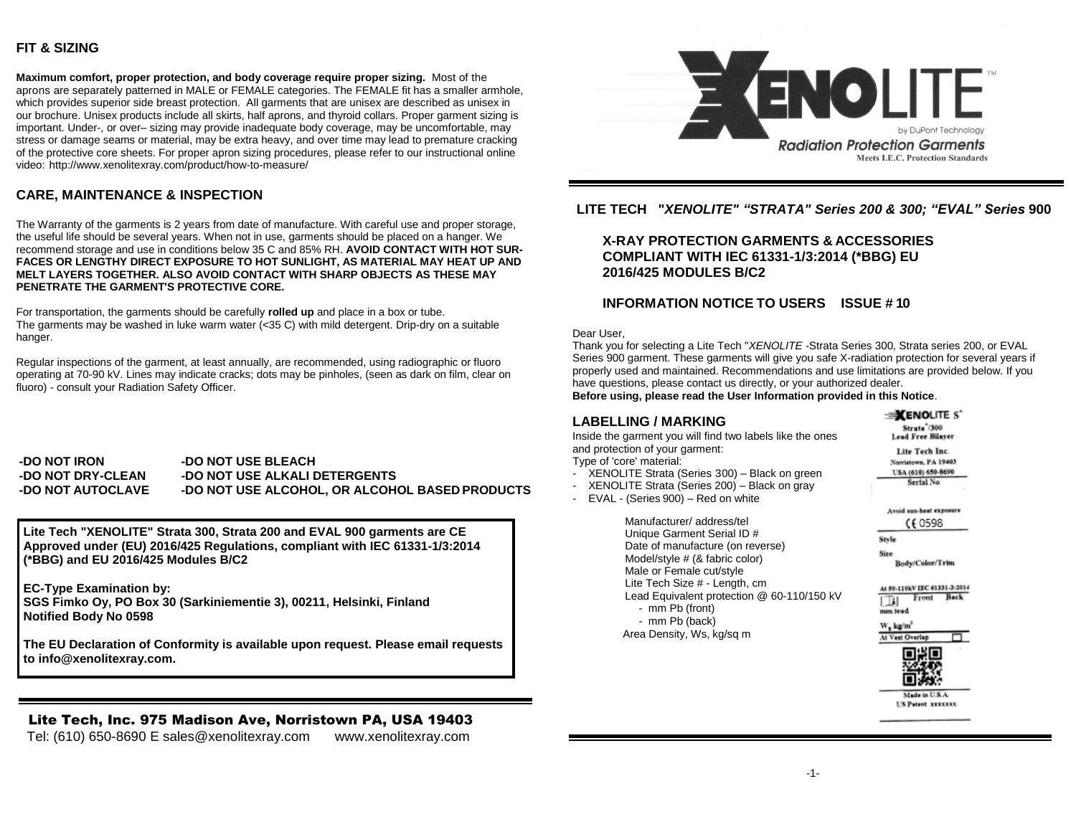## **FIT & SIZING**

**Maximum comfort, proper protection, and body coverage require proper sizing.** Most of the aprons are separately patterned in MALE or FEMALE categories. The FEMALE fit has a smaller armhole, which provides superior side breast protection. All garments that are unisex are described as unisex in our brochure. Unisex products include all skirts, half aprons, and thyroid collars. Proper garment sizing is important. Under-, or over– sizing may provide inadequate body coverage, may be uncomfortable, may stress or damage seams or material, may be extra heavy, and over time may lead to premature cracking of the protective core sheets. For proper apron sizing procedures, please refer to our instructional online video: <http://www.xenolitexray.com/product/how-to-measure/>

# **CARE, MAINTENANCE & INSPECTION**

The Warranty of the garments is 2 years from date of manufacture. With careful use and proper storage, the useful life should be several years. When not in use, garments should be placed on a hanger. We recommend storage and use in conditions below 35 C and 85% RH. **AVOID CONTACT WITH HOT SUR-FACES OR LENGTHY DIRECT EXPOSURE TO HOT SUNLIGHT, AS MATERIAL MAY HEAT UP AND MELT LAYERS TOGETHER. ALSO AVOID CONTACT WITH SHARP OBJECTS AS THESE MAY PENETRATE THE GARMENT'S PROTECTIVE CORE.**

For transportation, the garments should be carefully **rolled up** and place in a box or tube. The garments may be washed in luke warm water  $\left( < 35 \text{ C} \right)$  with mild detergent. Drip-dry on a suitable hanger.

Regular inspections of the garment, at least annually, are recommended, using radiographic or fluoro operating at 70-90 kV. Lines may indicate cracks; dots may be pinholes, (seen as dark on film, clear on fluoro) - consult your Radiation Safety Officer.

**-DO NOT IRON -DO NOT DRY-CLEAN -DO NOT AUTOCLAVE -DO NOT USE BLEACH -DO NOT USE ALKALI DETERGENTS -DO NOT USE ALCOHOL, OR ALCOHOL BASED PRODUCTS**

**Lite Tech "XENOLITE" Strata 300, Strata 200 and EVAL 900 garments are CE Approved under (EU) 2016/425 Regulations, compliant with IEC 61331-1/3:2014 (\*BBG) and EU 2016/425 Modules B/C2**

**EC-Type Examination by: SGS Fimko Oy, PO Box 30 (Sarkiniementie 3), 00211, Helsinki, Finland Notified Body No 0598**

**The EU Declaration of Conformity is available upon request. Please email requests to info@xenolitexray.com.**

Lite Tech, Inc. 975 Madison Ave, Norristown PA, USA 19403 Tel: (610) 650-8690 E [sales@xenolitexray.com](mailto:sales@xenolitexray.com) [www.xenolitexray.com](http://www.xenolitexray.com/)



### **LITE TECH "***XENOLITE" "STRATA" Series 200 & 300; "EVAL" Series* **900**

# **X-RAY PROTECTION GARMENTS & ACCESSORIES COMPLIANT WITH IEC 61331-1/3:2014 (\*BBG) EU 2016/425 MODULES B/C2**

## **INFORMATION NOTICE TO USERS ISSUE # 10**

Dear User,

Thank you for selecting a Lite Tech "*XENOLITE* -Strata Series 300, Strata series 200, or EVAL Series 900 garment. These garments will give you safe X-radiation protection for several years if properly used and maintained. Recommendations and use limitations are provided below. If you have questions, please contact us directly, or your authorized dealer.

**Before using, please read the User Information provided in this Notice**.

#### **LABELLING / MARKING**

Inside the garment you will find two labels like the ones and protection of your garment: Type of 'core' material:

- XENOLITE Strata (Series 300) Black on green
- XENOLITE Strata (Series 200) Black on gray
- EVAL (Series 900) Red on white

Manufacturer/ address/tel Unique Garment Serial ID # Date of manufacture (on reverse) Model/style # (& fabric color) Male or Female cut/style Lite Tech Size # - Length, cm Lead Equivalent protection @ 60-110/150 kV - mm Pb (front) - mm Pb (back) Area Density, Ws, kg/sq m

Strata<sup>\*</sup>/300 Lead Free Bilaver Lite Tech Inc. Norristown, PA 19403 USA (610) 650-8690 Serial No. Avoid sun-heat exposure CE 0598 Style Size Body/Color/Trim At \$0-110kV IEC 61331-3:2014 Front Back الآل mm lead W, kg/m At Vest Overlap π

 $\equiv$ *XENOLITE S<sup>\*</sup>* 



**US Patent XXXXXXX**